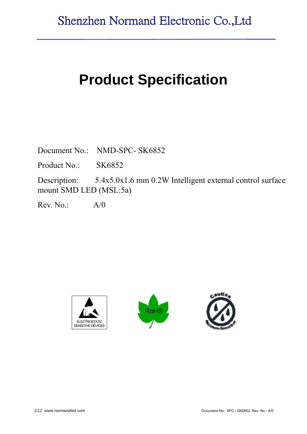# **Product Specification**

Document No.: NMD-SPC- SK6852

Product No.: SK6852

Description: 5.4x5.0x1.6 mm 0.2W Intelligent external control surface mount SMD LED (MSL:5a)

 $Rev. No.: A/0$ 





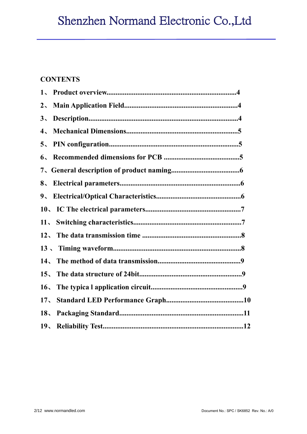# Shenzhen Normand Electronic Co.,Ltd

### **CONTENTS**

| 1 <sub>1</sub>                         |  |
|----------------------------------------|--|
| $2\overline{ }$                        |  |
| $3\sqrt{ }$                            |  |
| $4\sqrt{ }$                            |  |
| 5 <sub>1</sub>                         |  |
| 6 <sub>1</sub>                         |  |
|                                        |  |
| 8 <sub>1</sub>                         |  |
| $9_{\textstyle{\scriptstyle{\wedge}}}$ |  |
|                                        |  |
| 11 <sub>2</sub>                        |  |
|                                        |  |
|                                        |  |
|                                        |  |
| $15 -$                                 |  |
| 16 <sub>1</sub>                        |  |
| 17 <sub>1</sub>                        |  |
| 18 <sub>1</sub>                        |  |
|                                        |  |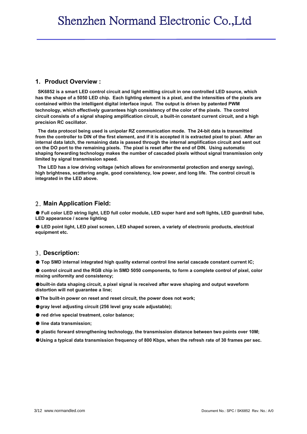#### **1. Product Overview :**

**SK6852 is a smart LED control circuit and light emitting circuit in one controlled LED source, which has the shape of a 5050 LED chip. Each lighting element is a pixel, and the intensities of the pixels are contained within the intelligent digital interface input. The output is driven by patented PWM technology, which effectively guarantees high consistency of the color of the pixels. The control circuit consists of a signal shaping amplification circuit, a built-in constant current circuit, and a high precision RC oscillator.**

**The data protocol being used is unipolar RZ communication mode. The 24-bit data is transmitted from the controller to DIN of the first element, and if it is accepted it is extracted pixel to pixel. After an internal data latch, the remaining data is passed through the internal amplification circuit and sent out on the DO port to the remaining pixels. The pixel is reset after the end of DIN. Using automatic shaping forwarding technology makes the number of cascaded pixels without signal transmission only limited by signal transmission speed.**

**The LED has a low driving voltage (which allows for environmental protection and energy saving), high brightness, scattering angle, good consistency, low power, and long life. The control circuit is integrated in the LED above.**

#### 2. **Main Application Field:**

● Full color LED string light, LED full color module, LED super hard and soft lights, LED quardrail tube, **LED appearance / scene lighting**

● **LED point light, LED pixel screen, LED shaped screen, a variety of electronic products, electrical equipment etc.**

#### 3. **Description:**

● **Top SMD internal integrated high quality external control line serial cascade constant current IC;**

● control circuit and the RGB chip in SMD 5050 components, to form a complete control of pixel, color **mixing uniformity and consistency;**

●**built-in data shaping circuit, a pixel signal is received after wave shaping and output waveform distortion will not guarantee a line;**

- ●**The built-in power on reset and reset circuit, the power does not work;**
- ●**gray level adjusting circuit (256 level gray scale adjustable);**
- **red drive special treatment, color balance:**
- **line data transmission;**
- **plastic forward strengthening technology, the transmission distance between two points over 10M;**
- ●**Using a typical data transmission frequency of 800 Kbps, when the refresh rate of 30 frames per sec.**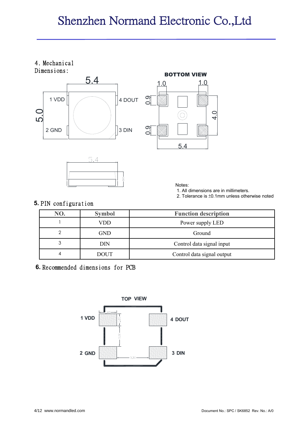# Shenzhen Normand Electronic Co.,Ltd

## 4. Mechanical







Notes:

1. All dimensions are in millimeters.

2. Tolerance is ±0.1mm unless otherwise noted

#### **5.** PIN configuration

| NO. | <b>Symbol</b> | <b>Function description</b> |
|-----|---------------|-----------------------------|
|     | VDD           | Power supply LED            |
|     | GND           | Ground                      |
| 3   | DIN           | Control data signal input   |
| 4   | <b>DOUT</b>   | Control data signal output  |

#### **6.** Recommended dimensions for PCB

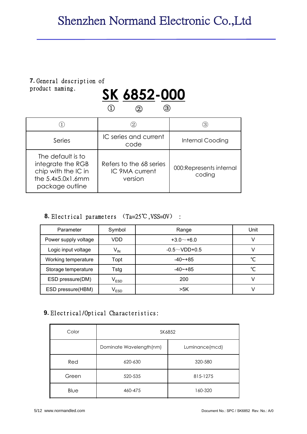# **7.** General description of product naming.



|                                                                                                       |                                                      | 3)                                |
|-------------------------------------------------------------------------------------------------------|------------------------------------------------------|-----------------------------------|
| Series                                                                                                | IC series and current<br>code                        | <b>Internal Cooding</b>           |
| The default is to<br>integrate the RGB<br>chip with the IC in<br>the 5.4x5.0x1.6mm<br>package outline | Refers to the 68 series<br>IC 9MA current<br>version | 000:Represents internal<br>coding |

#### **8.** Electrical parameters (Ta=25℃,VSS=0V) :

| Parameter            | Symbol                      | Range               | Unit |
|----------------------|-----------------------------|---------------------|------|
| Power supply voltage | VDD                         | $+3.0$ $-$ +6.0     | ∿    |
| Logic input voltage  | $V_{IN}$                    | $-0.5 \sim$ VDD+0.5 |      |
| Working temperature  | Topt                        | $-40$ $-+85$        | °C   |
| Storage temperature  | Tstg                        | $-40$ $-+85$        | °C   |
| ESD pressure(DM)     | $\mathsf{V}_{\mathsf{ESD}}$ | 200                 |      |
| ESD pressure(HBM)    | $\mathsf{V}_{\mathsf{ESD}}$ | >5K                 |      |

#### **9.** Electrical/Optical Characteristics:

| Color | SK6852                  |                |  |  |  |
|-------|-------------------------|----------------|--|--|--|
|       | Dominate Wavelength(nm) | Luminance(mcd) |  |  |  |
| Red   | 620-630                 | 320-580        |  |  |  |
| Green | 520-535                 | 815-1275       |  |  |  |
| Blue  | 460-475                 | 160-320        |  |  |  |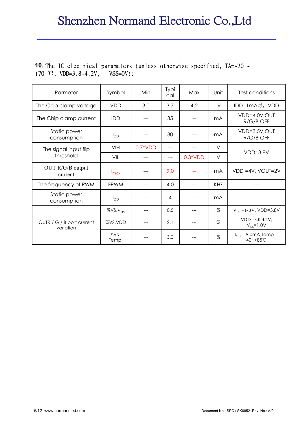#### **10.** The IC electrical parameters (unless otherwise specified, TA=-20 ~ +70 ℃, VDD=3.8-4.2V, VSS=0V):

| Parmeter                               | Symbol           | Min       | Typi<br>cal | Max       | Unit       | Test conditions                            |
|----------------------------------------|------------------|-----------|-------------|-----------|------------|--------------------------------------------|
| The Chip clamp voltage                 | <b>VDD</b>       | 3.0       | 3.7         | 4.2       | V          | IDD=1mA时,VDD                               |
| The Chip clamp current                 | <b>IDD</b>       |           | 35          |           | mA         | VDD=4.0V,OUT<br>R/G/B OFF                  |
| Static power<br>consumption            | $I_{DD}$         |           | 30          |           | mA         | VDD=3.5V, OUT<br>R/G/B OFF                 |
| The signal input flip                  | VIH              | $0.7*VDD$ | ---         |           | V          | $VDD=3.8V$                                 |
| threshold                              | VIL              |           |             | $0.3*VDD$ | $\vee$     |                                            |
| OUT R/G/B output<br>current            | $I_{\text{max}}$ |           | 9.0         |           | mA         | VDD =4V, VOUT=2V                           |
| The frequency of PWM                   | <b>FPWM</b>      |           | 4.0         |           | <b>KHZ</b> |                                            |
| Static power<br>consumption            | $I_{DD}$         |           | 4           |           | mA         |                                            |
|                                        |                  |           | 0.5         | ---       | $\%$       | $V_{DS}$ =1~3V, VDD=3.8V                   |
| OUTR / G / B port current<br>variation | %VS.VDD          |           | 2.1         | ---       | $\%$       | $VDD = 3.0 - 4.2V$ .<br>$V_{DS} = 1.0V$    |
|                                        | %VS.<br>Temp.    |           | 3.0         |           | $\%$       | $I_{OUT} = 9.0mA, Temp = -$<br>40~+85 $°C$ |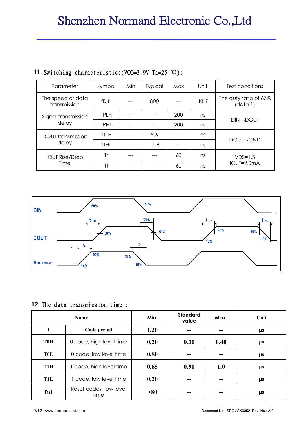| Parameter                         | Symbol      | Min | <b>Typical</b> | Max | Unit | Test conditions                   |
|-----------------------------------|-------------|-----|----------------|-----|------|-----------------------------------|
| The speed of data<br>transmission | <b>fDIN</b> |     | 800            |     | KHZ  | The duty ratio of 67%<br>(data 1) |
| Signal transmission               | <b>TPLH</b> |     |                | 200 | ns   | <b>DIN→DOUT</b>                   |
| delay                             | <b>TPHL</b> |     |                | 200 | ns   |                                   |
| DOUT transmission                 | <b>TTLH</b> |     | 9.6            |     | ns   | $DOUI \rightarrow GND$            |
| delay                             | <b>TTHL</b> |     | 11.6           |     | ns   |                                   |
| <b>IOUT Rise/Drop</b>             | Tr          |     |                | 60  | ns   | $VDS=1.5$                         |
| Time                              | Τf          |     |                | 60  | ns   | IOUT=9.0mA                        |

### **11.** Switching characteristics(VCC=3.9V Ta=25 ℃):



#### **12.** The data transmission time :

|                  | <b>Name</b>                   | Min. | <b>Standard</b><br>value | Max. | Unit    |
|------------------|-------------------------------|------|--------------------------|------|---------|
| T                | Code period                   | 1.20 | --                       |      | μs      |
| <b>T0H</b>       | 0 code, high level time       | 0.20 | 0.30                     | 0.40 | μs      |
| TOL              | 0 code, low level time        | 0.80 | --                       |      | μs      |
| T <sub>1</sub> H | 1 code, high level time       | 0.65 | 0.90                     | 1.0  | $\mu$ s |
| T1L              | 1 code, low level time        | 0.20 | --                       |      | μs      |
| <b>Trst</b>      | Reset code, low level<br>time | >80  | --                       |      | μs      |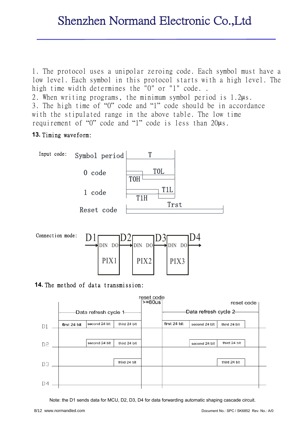1. The protocol uses a unipolar zeroing code. Each symbol must have a low level. Each symbol in this protocol starts with a high level. The high time width determines the "0" or "1" code.. 2. When writing programs, the minimum symbol period is 1.2μs.

3. The high time of "0" code and "1" code should be in accordance with the stipulated range in the above table. The low time requirement of "0" code and "1" code is less than 20μs.

#### **13.** Timing waveform:





#### **14.** The method of data transmission:



Note: the D1 sends data for MCU, D2, D3, D4 for data forwarding automatic shaping cascade circuit.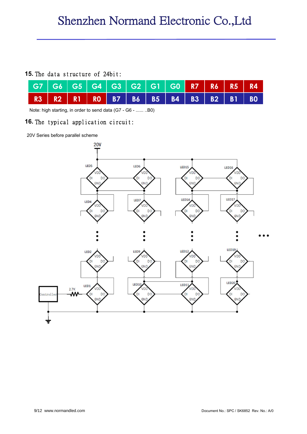#### **15.** The data structure of 24bit:

| G7   G6   G5   G4   G3   G2   G1   G0 <mark>  R7   R6   R5   R4  </mark> |  |  |  |  |  |
|--------------------------------------------------------------------------|--|--|--|--|--|
| R3   R2   R1   R0   B7   B6   B5   B4   B3   B2   B1   B0                |  |  |  |  |  |

Note: high starting, in order to send data (G7 - G6 - ...... ..B0)

#### **16.** The typical application circuit:

20V Series before parallel scheme

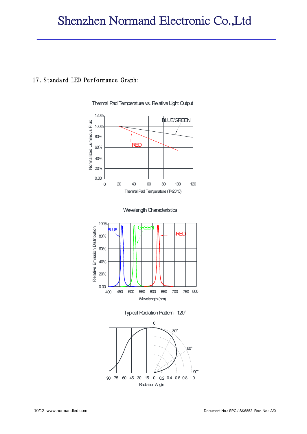#### 17. Standard LED Performance Graph:



Thermal Pad Temperature vs. Relative Light Output







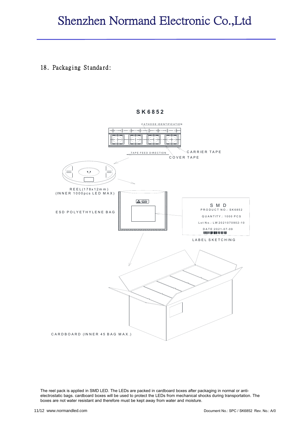## Shenzhen Normand Electronic Co.,Ltd

#### 18. Packaging Standard:

#### **S K 6852**



The reel pack is applied in SMD LED. The LEDs are packed in cardboard boxes after packaging in normal or antielectrostatic bags. cardboard boxes will be used to protect the LEDs from mechanical shocks during transportation. The boxes are not water resistant and therefore must be kept away from water and moisture.